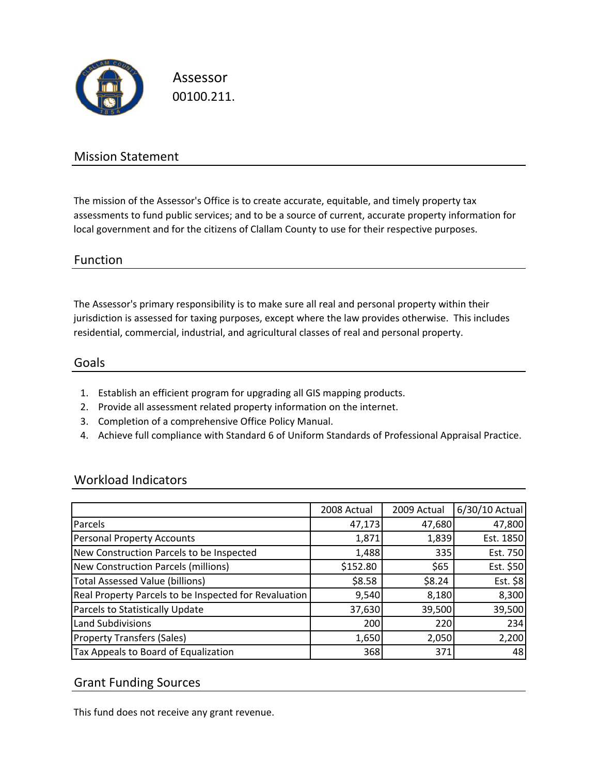

Assessor 00100.211.

## Mission Statement

The mission of the Assessor's Office is to create accurate, equitable, and timely property tax assessments to fund public services; and to be a source of current, accurate property information for local government and for the citizens of Clallam County to use for their respective purposes.

### Function

The Assessor's primary responsibility is to make sure all real and personal property within their jurisdiction is assessed for taxing purposes, except where the law provides otherwise. This includes residential, commercial, industrial, and agricultural classes of real and personal property.

#### Goals

- 1. Establish an efficient program for upgrading all GIS mapping products.
- 2. Provide all assessment related property information on the internet.
- 3. Completion of a comprehensive Office Policy Manual.
- 4. Achieve full compliance with Standard 6 of Uniform Standards of Professional Appraisal Practice.

### Workload Indicators

|                                                       | 2008 Actual | 2009 Actual | 6/30/10 Actual |
|-------------------------------------------------------|-------------|-------------|----------------|
| Parcels                                               | 47,173      | 47,680      | 47,800         |
| Personal Property Accounts                            | 1,871       | 1,839       | Est. 1850      |
| New Construction Parcels to be Inspected              | 1,488       | 335         | Est. 750       |
| New Construction Parcels (millions)                   | \$152.80    | \$65        | Est. \$50      |
| <b>Total Assessed Value (billions)</b>                | \$8.58      | \$8.24      | Est. \$8       |
| Real Property Parcels to be Inspected for Revaluation | 9,540       | 8,180       | 8,300          |
| Parcels to Statistically Update                       | 37,630      | 39,500      | 39,500         |
| Land Subdivisions                                     | 200         | 220         | 234            |
| <b>Property Transfers (Sales)</b>                     | 1,650       | 2,050       | 2,200          |
| Tax Appeals to Board of Equalization                  | 368         | 371         | 48             |

### Grant Funding Sources

This fund does not receive any grant revenue.